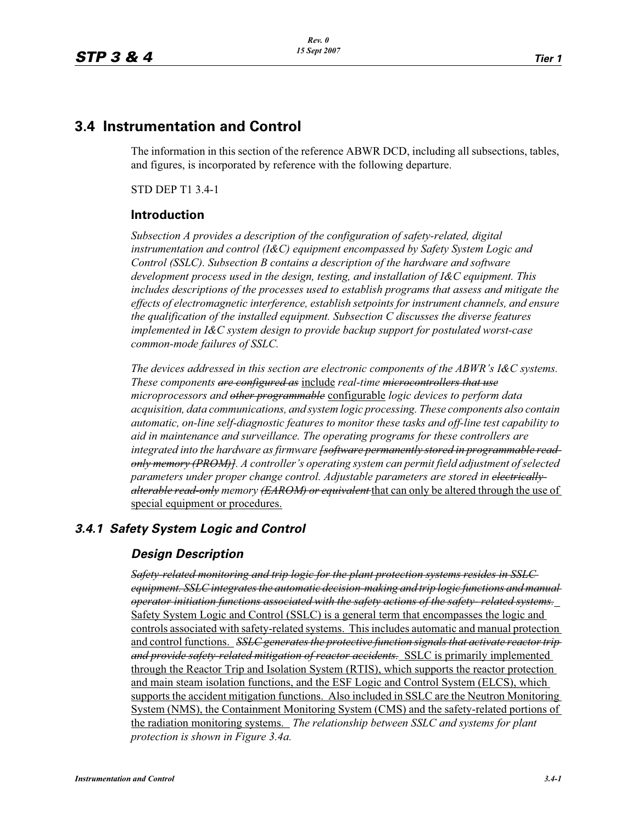## **3.4 Instrumentation and Control**

The information in this section of the reference ABWR DCD, including all subsections, tables, and figures, is incorporated by reference with the following departure.

STD DEP T1 3.4-1

## **Introduction**

*Subsection A provides a description of the configuration of safety-related, digital instrumentation and control (I&C) equipment encompassed by Safety System Logic and Control (SSLC). Subsection B contains a description of the hardware and software development process used in the design, testing, and installation of I&C equipment. This includes descriptions of the processes used to establish programs that assess and mitigate the effects of electromagnetic interference, establish setpoints for instrument channels, and ensure the qualification of the installed equipment. Subsection C discusses the diverse features implemented in I&C system design to provide backup support for postulated worst-case common-mode failures of SSLC.*

*The devices addressed in this section are electronic components of the ABWR's I&C systems. These components are configured as* include *real-time microcontrollers that use microprocessors and other programmable* configurable *logic devices to perform data acquisition, data communications, and system logic processing. These components also contain automatic, on-line self-diagnostic features to monitor these tasks and off-line test capability to aid in maintenance and surveillance. The operating programs for these controllers are integrated into the hardware as firmware [software permanently stored in programmable readonly memory (PROM)]. A controller's operating system can permit field adjustment of selected parameters under proper change control. Adjustable parameters are stored in electricallyalterable read-only memory (EAROM) or equivalent* that can only be altered through the use of special equipment or procedures.

## *3.4.1 Safety System Logic and Control*

## *Design Description*

*Safety-related monitoring and trip logic for the plant protection systems resides in SSLC equipment. SSLC integrates the automatic decision-making and trip logic functions and manual operator initiation functions associated with the safety actions of the safety- related systems.* Safety System Logic and Control (SSLC) is a general term that encompasses the logic and controls associated with safety-related systems. This includes automatic and manual protection and control functions. *SSLC generates the protective function signals that activate reactor trip and provide safety-related mitigation of reactor accidents.* SSLC is primarily implemented through the Reactor Trip and Isolation System (RTIS), which supports the reactor protection and main steam isolation functions, and the ESF Logic and Control System (ELCS), which supports the accident mitigation functions. Also included in SSLC are the Neutron Monitoring System (NMS), the Containment Monitoring System (CMS) and the safety-related portions of the radiation monitoring systems. *The relationship between SSLC and systems for plant protection is shown in Figure 3.4a.*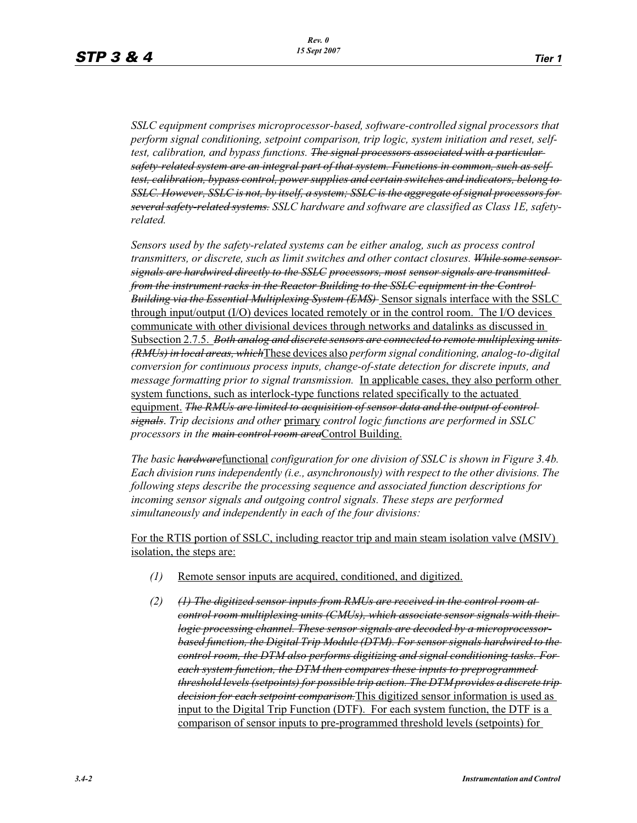*SSLC equipment comprises microprocessor-based, software-controlled signal processors that perform signal conditioning, setpoint comparison, trip logic, system initiation and reset, selftest, calibration, and bypass functions. The signal processors associated with a particular safety-related system are an integral part of that system. Functions in common, such as selftest, calibration, bypass control, power supplies and certain switches and indicators, belong to SSLC. However, SSLC is not, by itself, a system; SSLC is the aggregate of signal processors for several safety-related systems. SSLC hardware and software are classified as Class 1E, safetyrelated.*

*Sensors used by the safety-related systems can be either analog, such as process control transmitters, or discrete, such as limit switches and other contact closures. While some sensor signals are hardwired directly to the SSLC processors, most sensor signals are transmitted from the instrument racks in the Reactor Building to the SSLC equipment in the Control Building via the Essential Multiplexing System (EMS)* Sensor signals interface with the SSLC through input/output (I/O) devices located remotely or in the control room. The I/O devices communicate with other divisional devices through networks and datalinks as discussed in Subsection 2.7.5. *Both analog and discrete sensors are connected to remote multiplexing units (RMUs) in local areas, which*These devices also *perform signal conditioning, analog-to-digital conversion for continuous process inputs, change-of-state detection for discrete inputs, and message formatting prior to signal transmission.* In applicable cases, they also perform other system functions, such as interlock-type functions related specifically to the actuated equipment. *The RMUs are limited to acquisition of sensor data and the output of control signals*. *Trip decisions and other* primary *control logic functions are performed in SSLC processors in the main control room area*Control Building.

*The basic hardware*functional *configuration for one division of SSLC is shown in Figure 3.4b. Each division runs independently (i.e., asynchronously) with respect to the other divisions. The following steps describe the processing sequence and associated function descriptions for incoming sensor signals and outgoing control signals. These steps are performed simultaneously and independently in each of the four divisions:*

For the RTIS portion of SSLC, including reactor trip and main steam isolation valve (MSIV) isolation, the steps are:

- *(1)* Remote sensor inputs are acquired, conditioned, and digitized.
- *(2) (1) The digitized sensor inputs from RMUs are received in the control room at control room multiplexing units (CMUs), which associate sensor signals with their logic processing channel. These sensor signals are decoded by a microprocessorbased function, the Digital Trip Module (DTM). For sensor signals hardwired to the control room, the DTM also performs digitizing and signal conditioning tasks. For each system function, the DTM then compares these inputs to preprogrammed threshold levels (setpoints) for possible trip action. The DTM provides a discrete trip decision for each setpoint comparison.*This digitized sensor information is used as input to the Digital Trip Function (DTF). For each system function, the DTF is a comparison of sensor inputs to pre-programmed threshold levels (setpoints) for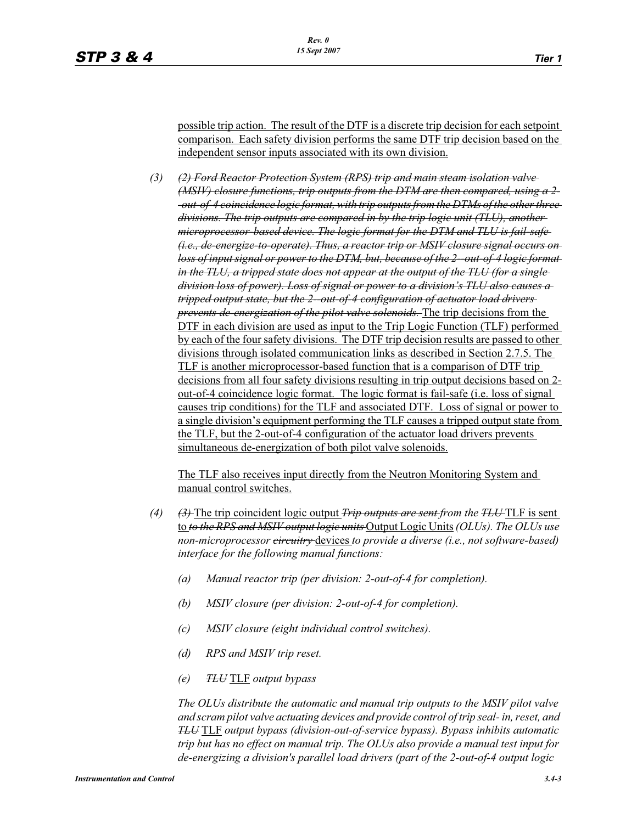possible trip action. The result of the DTF is a discrete trip decision for each setpoint comparison. Each safety division performs the same DTF trip decision based on the independent sensor inputs associated with its own division.

*(3) (2) Ford Reactor Protection System (RPS) trip and main steam isolation valve (MSIV) closure functions, trip outputs from the DTM are then compared, using a 2- -out-of-4 coincidence logic format, with trip outputs from the DTMs of the other three divisions. The trip outputs are compared in by the trip logic unit (TLU), another microprocessor-based device. The logic format for the DTM and TLU is fail-safe (i.e., de-energize-to-operate). Thus, a reactor trip or MSIV closure signal occurs on loss of input signal or power to the DTM, but, because of the 2--out-of-4 logic format in the TLU, a tripped state does not appear at the output of the TLU (for a single division loss of power). Loss of signal or power to a division's TLU also causes a tripped output state, but the 2--out-of-4 configuration of actuator load drivers prevents de-energization of the pilot valve solenoids.* The trip decisions from the DTF in each division are used as input to the Trip Logic Function (TLF) performed by each of the four safety divisions. The DTF trip decision results are passed to other divisions through isolated communication links as described in Section 2.7.5. The TLF is another microprocessor-based function that is a comparison of DTF trip decisions from all four safety divisions resulting in trip output decisions based on 2 out-of-4 coincidence logic format. The logic format is fail-safe (i.e. loss of signal causes trip conditions) for the TLF and associated DTF. Loss of signal or power to a single division's equipment performing the TLF causes a tripped output state from the TLF, but the 2-out-of-4 configuration of the actuator load drivers prevents simultaneous de-energization of both pilot valve solenoids.

The TLF also receives input directly from the Neutron Monitoring System and manual control switches.

- *(4) (3)* The trip coincident logic output *Trip outputs are sent from the TLU* TLF is sent to *to the RPS and MSIV output logic units* Output Logic Units *(OLUs). The OLUs use non-microprocessor circuitry* devices *to provide a diverse (i.e., not software-based) interface for the following manual functions:*
	- *(a) Manual reactor trip (per division: 2-out-of-4 for completion).*
	- *(b) MSIV closure (per division: 2-out-of-4 for completion).*
	- *(c) MSIV closure (eight individual control switches).*
	- *(d) RPS and MSIV trip reset.*
	- *(e) TLU* TLF *output bypass*

*The OLUs distribute the automatic and manual trip outputs to the MSIV pilot valve and scram pilot valve actuating devices and provide control of trip seal- in, reset, and TLU* TLF *output bypass (division-out-of-service bypass). Bypass inhibits automatic trip but has no effect on manual trip. The OLUs also provide a manual test input for de-energizing a division's parallel load drivers (part of the 2-out-of-4 output logic*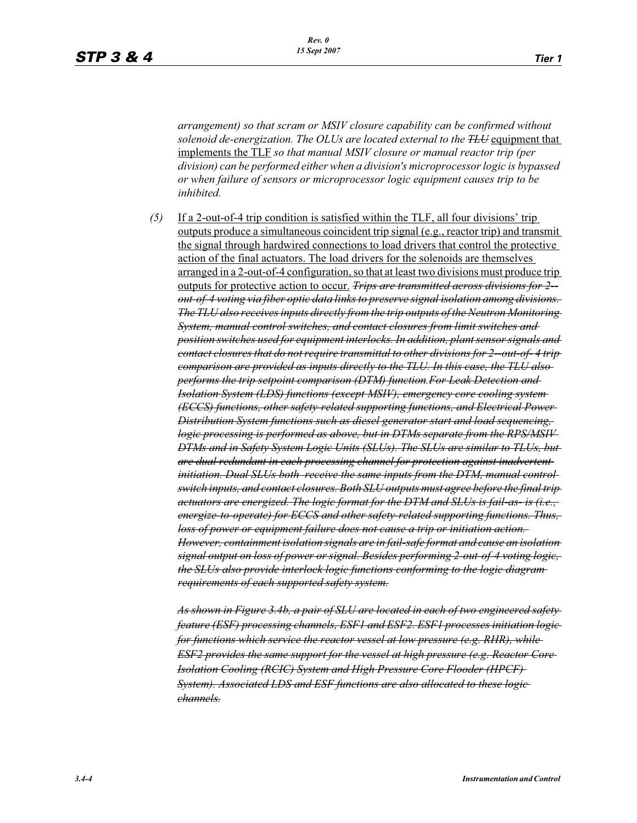*arrangement) so that scram or MSIV closure capability can be confirmed without solenoid de-energization. The OLUs are located external to the TLU* equipment that implements the TLF *so that manual MSIV closure or manual reactor trip (per division) can be performed either when a division's microprocessor logic is bypassed or when failure of sensors or microprocessor logic equipment causes trip to be inhibited.*

*(5)* If a 2-out-of-4 trip condition is satisfied within the TLF, all four divisions' trip outputs produce a simultaneous coincident trip signal (e.g., reactor trip) and transmit the signal through hardwired connections to load drivers that control the protective action of the final actuators. The load drivers for the solenoids are themselves arranged in a 2-out-of-4 configuration, so that at least two divisions must produce trip outputs for protective action to occur. *Trips are transmitted across divisions for 2- out-of-4 voting via fiber optic data links to preserve signal isolation among divisions. The TLU also receives inputs directly from the trip outputs of the Neutron Monitoring System, manual control switches, and contact closures from limit switches and position switches used for equipment interlocks. In addition, plant sensor signals and contact closures that do not require transmittal to other divisions for 2--out-of- 4 trip comparison are provided as inputs directly to the TLU. In this case, the TLU also performs the trip setpoint comparison (DTM) function.For Leak Detection and Isolation System (LDS) functions (except MSIV), emergency core cooling system (ECCS) functions, other safety-related supporting functions, and Electrical Power Distribution System functions such as diesel generator start and load sequencing, logic processing is performed as above, but in DTMs separate from the RPS/MSIV DTMs and in Safety System Logic Units (SLUs). The SLUs are similar to TLUs, but are dual redundant in each processing channel for protection against inadvertent initiation. Dual SLUs both receive the same inputs from the DTM, manual control switch inputs, and contact closures. Both SLU outputs must agree before the final trip actuators are energized. The logic format for the DTM and SLUs is fail-as- is (i.e., energize-to-operate) for ECCS and other safety-related supporting functions. Thus, loss of power or equipment failure does not cause a trip or initiation action. However, containment isolation signals are in fail-safe format and cause an isolation signal output on loss of power or signal. Besides performing 2-out-of-4 voting logic, the SLUs also provide interlock logic functions conforming to the logic diagram requirements of each supported safety system.*

*As shown in Figure 3.4b, a pair of SLU are located in each of two engineered safety feature (ESF) processing channels, ESF1 and ESF2. ESF1 processes initiation logic for functions which service the reactor vessel at low pressure (e.g. RHR), while ESF2 provides the same support for the vessel at high pressure (e.g. Reactor Core Isolation Cooling (RCIC) System and High Pressure Core Flooder (HPCF) System). Associated LDS and ESF functions are also allocated to these logic channels.*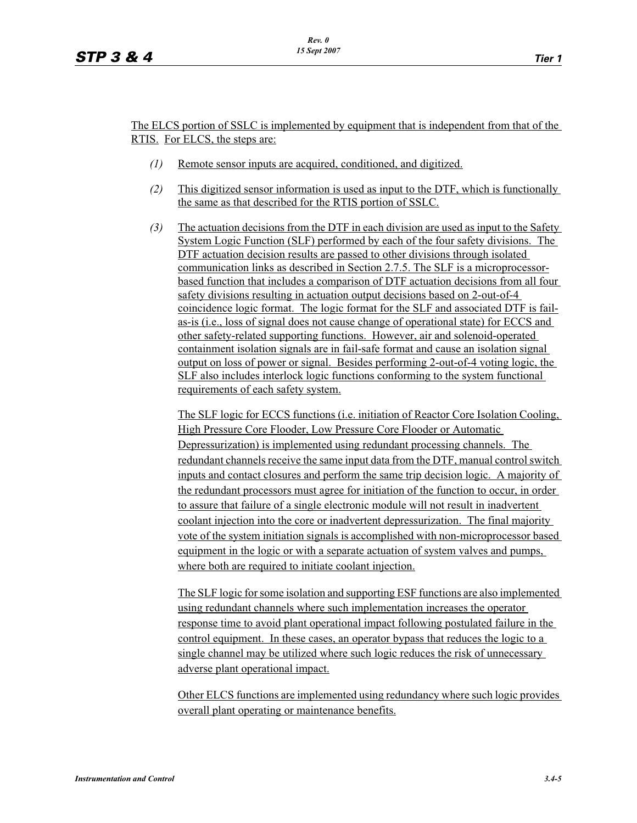#### The ELCS portion of SSLC is implemented by equipment that is independent from that of the RTIS. For ELCS, the steps are:

- *(1)* Remote sensor inputs are acquired, conditioned, and digitized.
- *(2)* This digitized sensor information is used as input to the DTF, which is functionally the same as that described for the RTIS portion of SSLC.
- *(3)* The actuation decisions from the DTF in each division are used as input to the Safety System Logic Function (SLF) performed by each of the four safety divisions. The DTF actuation decision results are passed to other divisions through isolated communication links as described in Section 2.7.5. The SLF is a microprocessorbased function that includes a comparison of DTF actuation decisions from all four safety divisions resulting in actuation output decisions based on 2-out-of-4 coincidence logic format. The logic format for the SLF and associated DTF is failas-is (i.e., loss of signal does not cause change of operational state) for ECCS and other safety-related supporting functions. However, air and solenoid-operated containment isolation signals are in fail-safe format and cause an isolation signal output on loss of power or signal. Besides performing 2-out-of-4 voting logic, the SLF also includes interlock logic functions conforming to the system functional requirements of each safety system.

The SLF logic for ECCS functions (i.e. initiation of Reactor Core Isolation Cooling, High Pressure Core Flooder, Low Pressure Core Flooder or Automatic Depressurization) is implemented using redundant processing channels. The redundant channels receive the same input data from the DTF, manual control switch inputs and contact closures and perform the same trip decision logic. A majority of the redundant processors must agree for initiation of the function to occur, in order to assure that failure of a single electronic module will not result in inadvertent coolant injection into the core or inadvertent depressurization. The final majority vote of the system initiation signals is accomplished with non-microprocessor based equipment in the logic or with a separate actuation of system valves and pumps, where both are required to initiate coolant injection.

The SLF logic for some isolation and supporting ESF functions are also implemented using redundant channels where such implementation increases the operator response time to avoid plant operational impact following postulated failure in the control equipment. In these cases, an operator bypass that reduces the logic to a single channel may be utilized where such logic reduces the risk of unnecessary adverse plant operational impact.

Other ELCS functions are implemented using redundancy where such logic provides overall plant operating or maintenance benefits.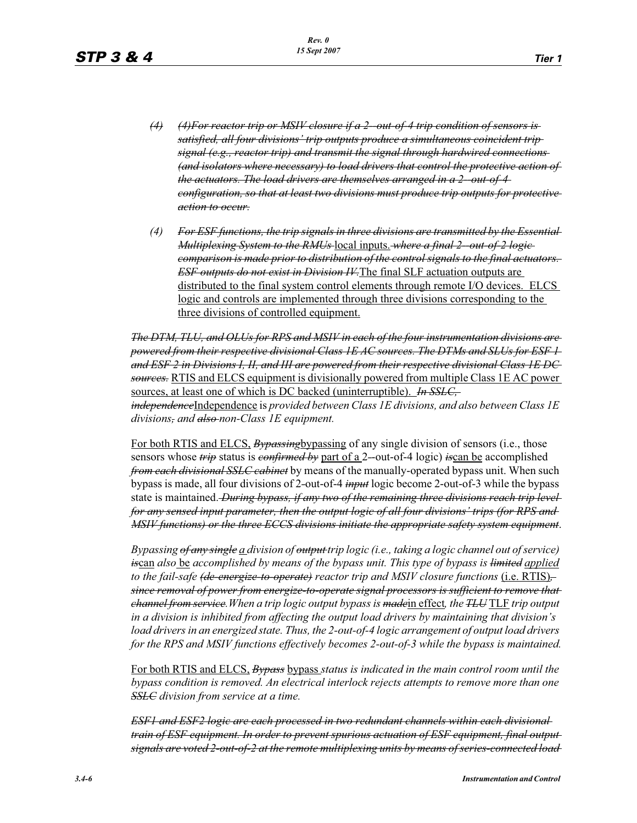- *(4) (4)For reactor trip or MSIV closure if a 2--out-of-4 trip condition of sensors is satisfied, all four divisions' trip outputs produce a simultaneous coincident trip signal (e.g., reactor trip) and transmit the signal through hardwired connections (and isolators where necessary) to load drivers that control the protective action of the actuators. The load drivers are themselves arranged in a 2--out-of-4 configuration, so that at least two divisions must produce trip outputs for protective action to occur.*
- *(4) For ESF functions, the trip signals in three divisions are transmitted by the Essential Multiplexing System to the RMUs* local inputs. *where a final 2--out-of-2 logic comparison is made prior to distribution of the control signals to the final actuators. ESF outputs do not exist in Division IV.*The final SLF actuation outputs are distributed to the final system control elements through remote I/O devices. ELCS logic and controls are implemented through three divisions corresponding to the three divisions of controlled equipment.

*The DTM, TLU, and OLUs for RPS and MSIV in each of the four instrumentation divisions are powered from their respective divisional Class 1E AC sources. The DTMs and SLUs for ESF 1 and ESF 2 in Divisions I, II, and III are powered from their respective divisional Class 1E DC sources.* RTIS and ELCS equipment is divisionally powered from multiple Class 1E AC power sources, at least one of which is DC backed (uninterruptible). *In SSLC, independence*Independence is *provided between Class 1E divisions, and also between Class 1E divisions, and also non-Class 1E equipment.*

For both RTIS and ELCS, *Bypassing*bypassing of any single division of sensors (i.e., those sensors whose *trip* status is *confirmed by* part of a 2*-*-out-of-4 logic) *is*can be accomplished *from each divisional SSLC cabinet* by means of the manually-operated bypass unit. When such bypass is made, all four divisions of 2*-*out-of-4 *input* logic become 2-out-of-3 while the bypass state is maintained. *During bypass, if any two of the remaining three divisions reach trip level for any sensed input parameter, then the output logic of all four divisions' trips (for RPS and MSIV functions) or the three ECCS divisions initiate the appropriate safety system equipment*.

*Bypassing of any single a division of output trip logic (i.e., taking a logic channel out of service) is*can *also* be *accomplished by means of the bypass unit. This type of bypass is limited applied to the fail-safe (<del>de-energize-to-operate)</del> reactor trip and MSIV closure functions (i.e. RTIS) since removal of power from energize-to-operate signal processors is sufficient to remove that channel from service.When a trip logic output bypass is made*in effect*, the TLU* TLF *trip output in a division is inhibited from affecting the output load drivers by maintaining that division's load drivers in an energized state. Thus, the 2-out-of-4 logic arrangement of output load drivers for the RPS and MSIV functions effectively becomes 2-out-of-3 while the bypass is maintained.*

For both RTIS and ELCS, *Bypass* bypass *status is indicated in the main control room until the bypass condition is removed. An electrical interlock rejects attempts to remove more than one SSLC division from service at a time.*

*ESF1 and ESF2 logic are each processed in two redundant channels within each divisional train of ESF equipment. In order to prevent spurious actuation of ESF equipment, final output signals are voted 2-out-of-2 at the remote multiplexing units by means of series-connected load*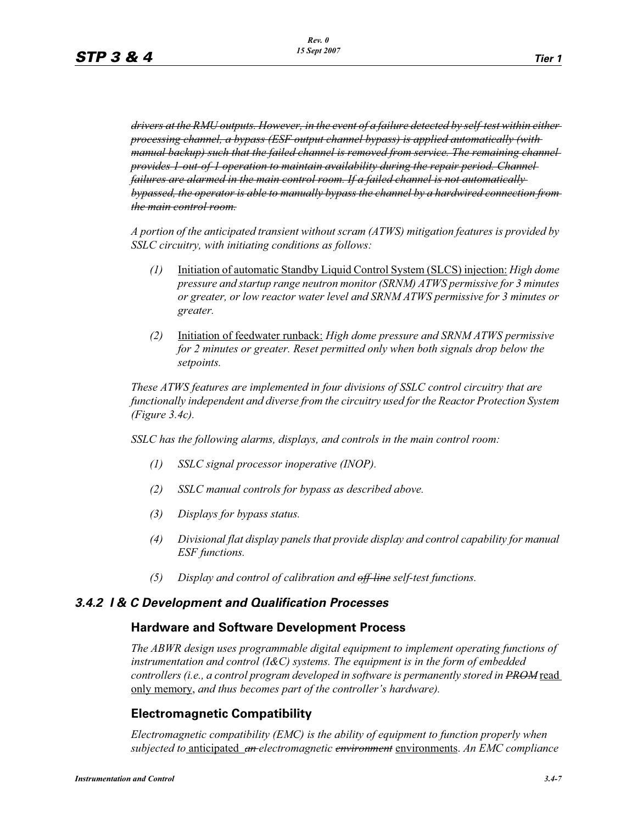*drivers at the RMU outputs. However, in the event of a failure detected by self-test within either processing channel, a bypass (ESF output channel bypass) is applied automatically (with manual backup) such that the failed channel is removed from service. The remaining channel provides 1-out-of-1 operation to maintain availability during the repair period. Channel failures are alarmed in the main control room. If a failed channel is not automatically bypassed, the operator is able to manually bypass the channel by a hardwired connection from the main control room.*

*A portion of the anticipated transient without scram (ATWS) mitigation features is provided by SSLC circuitry, with initiating conditions as follows:*

- *(1)* Initiation of automatic Standby Liquid Control System (SLCS) injection: *High dome pressure and startup range neutron monitor (SRNM) ATWS permissive for 3 minutes or greater, or low reactor water level and SRNM ATWS permissive for 3 minutes or greater.*
- *(2)* Initiation of feedwater runback: *High dome pressure and SRNM ATWS permissive for 2 minutes or greater. Reset permitted only when both signals drop below the setpoints.*

*These ATWS features are implemented in four divisions of SSLC control circuitry that are functionally independent and diverse from the circuitry used for the Reactor Protection System (Figure 3.4c).*

*SSLC has the following alarms, displays, and controls in the main control room:*

- *(1) SSLC signal processor inoperative (INOP).*
- *(2) SSLC manual controls for bypass as described above.*
- *(3) Displays for bypass status.*
- *(4) Divisional flat display panels that provide display and control capability for manual ESF functions.*
- *(5) Display and control of calibration and off-line self-test functions.*

## *3.4.2 I & C Development and Qualification Processes*

#### **Hardware and Software Development Process**

*The ABWR design uses programmable digital equipment to implement operating functions of instrumentation and control (I&C) systems. The equipment is in the form of embedded controllers (i.e., a control program developed in software is permanently stored in PROM* read only memory, *and thus becomes part of the controller's hardware).*

## **Electromagnetic Compatibility**

*Electromagnetic compatibility (EMC) is the ability of equipment to function properly when subjected to* anticipated *an electromagnetic environment* environments. *An EMC compliance*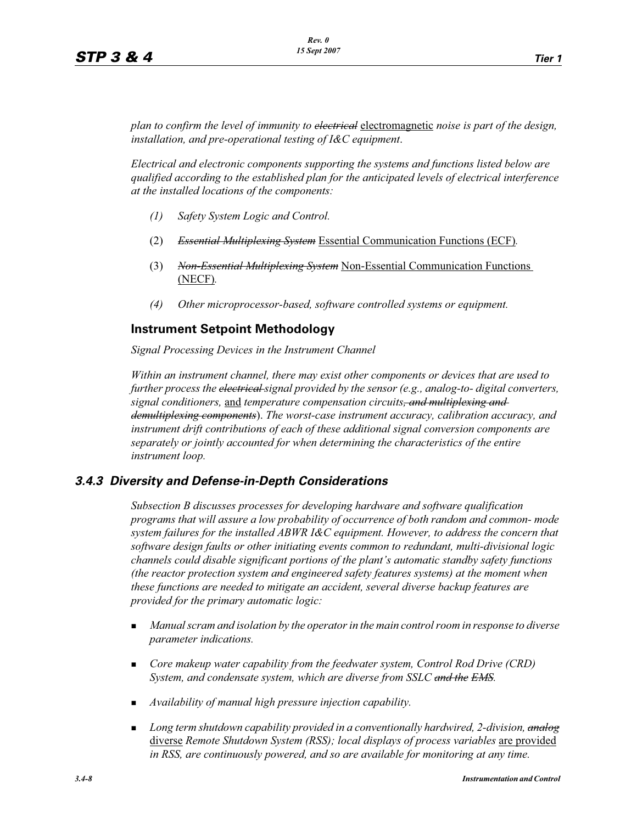*plan to confirm the level of immunity to electrical* electromagnetic *noise is part of the design, installation, and pre-operational testing of I&C equipment*.

*Electrical and electronic components supporting the systems and functions listed below are qualified according to the established plan for the anticipated levels of electrical interference at the installed locations of the components:*

- *(1) Safety System Logic and Control.*
- (2) *Essential Multiplexing System* Essential Communication Functions (ECF)*.*
- (3) *Non-Essential Multiplexing System* Non-Essential Communication Functions (NECF)*.*
- *(4) Other microprocessor-based, software controlled systems or equipment.*

## **Instrument Setpoint Methodology**

*Signal Processing Devices in the Instrument Channel*

*Within an instrument channel, there may exist other components or devices that are used to further process the electrical signal provided by the sensor (e.g., analog-to- digital converters, signal conditioners,* and *temperature compensation circuits, and multiplexing and demultiplexing components*). *The worst-case instrument accuracy, calibration accuracy, and instrument drift contributions of each of these additional signal conversion components are separately or jointly accounted for when determining the characteristics of the entire instrument loop.*

## *3.4.3 Diversity and Defense-in-Depth Considerations*

*Subsection B discusses processes for developing hardware and software qualification programs that will assure a low probability of occurrence of both random and common- mode system failures for the installed ABWR I&C equipment. However, to address the concern that software design faults or other initiating events common to redundant, multi-divisional logic channels could disable significant portions of the plant's automatic standby safety functions (the reactor protection system and engineered safety features systems) at the moment when these functions are needed to mitigate an accident, several diverse backup features are provided for the primary automatic logic:*

- - *Manual scram and isolation by the operator in the main control room in response to diverse parameter indications.*
- **Core makeup water capability from the feedwater system, Control Rod Drive (CRD)** *System, and condensate system, which are diverse from SSLC and the EMS.*
- *Availability of manual high pressure injection capability.*
- - *Long term shutdown capability provided in a conventionally hardwired, 2-division, analog* diverse *Remote Shutdown System (RSS); local displays of process variables* are provided *in RSS, are continuously powered, and so are available for monitoring at any time.*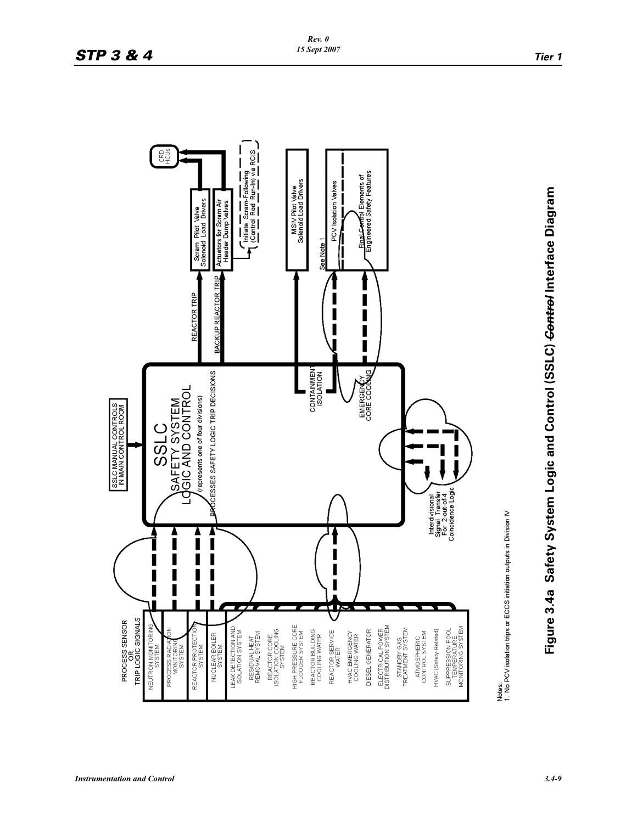

Figure 3.4a Safety System Logic and Control (SSLC) Control Interface Diagram **Figure 3.4a Safety System Logic and Control (SSLC)** *Control* **Interface Diagram**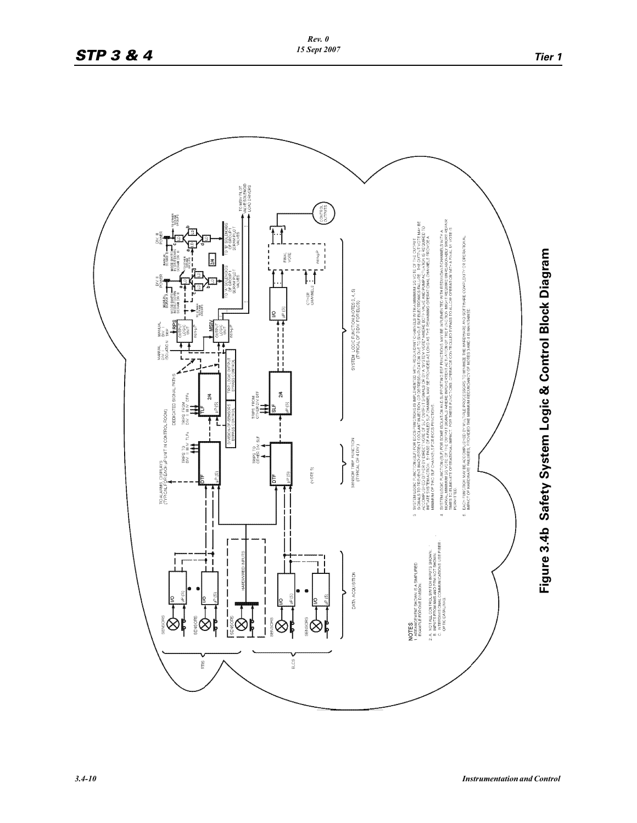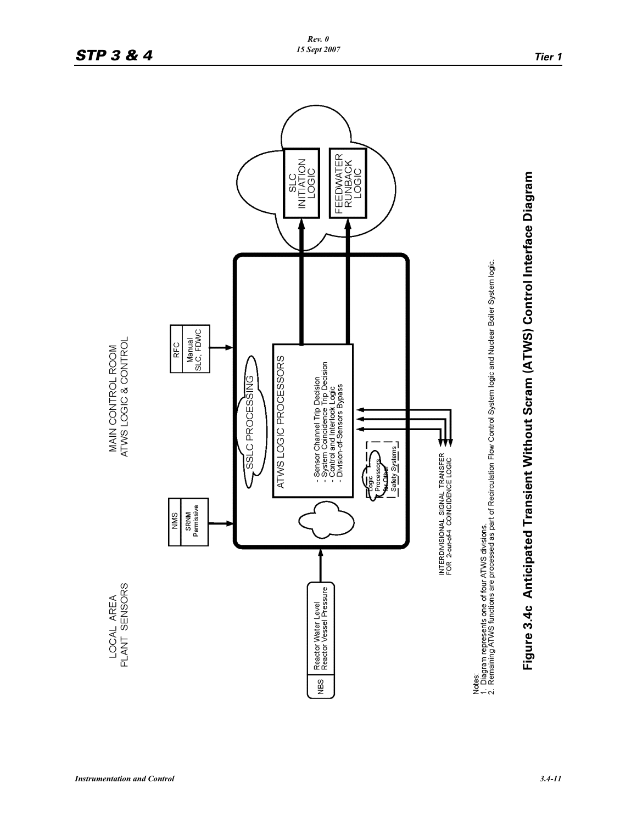

## **STP 3 & 4** *IS Sept 2007 Tier 1*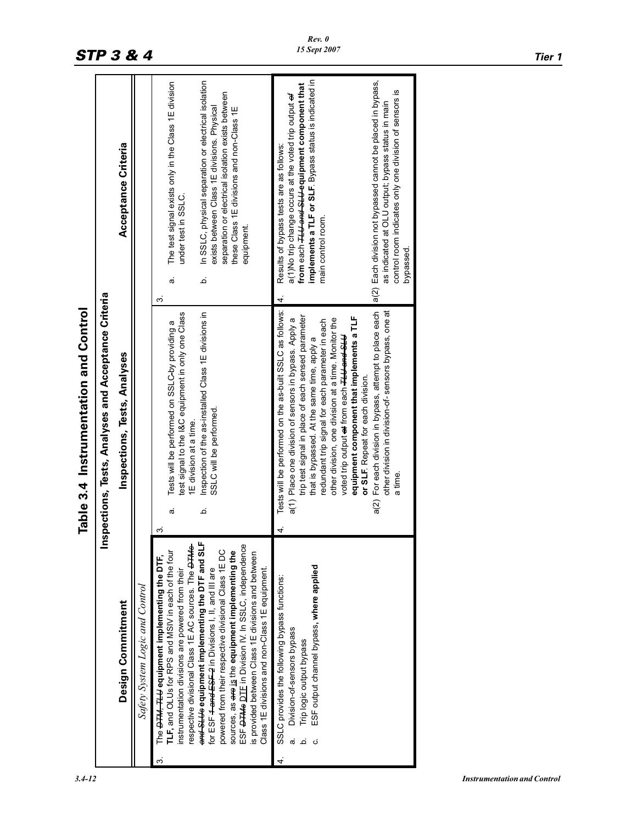|                                                                                                                                                                                                                                                                                                                                                                                                                                                                                                                                                                                                                                                                                                                                                                                                              | Table 3.4 Instrumentation and Control                                                                                                                                                                                                                                                                                                                                                                                                                                                                                                                                      |                                                                                                                                                                                                                                                                                                                                                                                                                                                                                                                                                                        |
|--------------------------------------------------------------------------------------------------------------------------------------------------------------------------------------------------------------------------------------------------------------------------------------------------------------------------------------------------------------------------------------------------------------------------------------------------------------------------------------------------------------------------------------------------------------------------------------------------------------------------------------------------------------------------------------------------------------------------------------------------------------------------------------------------------------|----------------------------------------------------------------------------------------------------------------------------------------------------------------------------------------------------------------------------------------------------------------------------------------------------------------------------------------------------------------------------------------------------------------------------------------------------------------------------------------------------------------------------------------------------------------------------|------------------------------------------------------------------------------------------------------------------------------------------------------------------------------------------------------------------------------------------------------------------------------------------------------------------------------------------------------------------------------------------------------------------------------------------------------------------------------------------------------------------------------------------------------------------------|
|                                                                                                                                                                                                                                                                                                                                                                                                                                                                                                                                                                                                                                                                                                                                                                                                              | Inspections, Tests, Analyses and Acceptance Criteria                                                                                                                                                                                                                                                                                                                                                                                                                                                                                                                       |                                                                                                                                                                                                                                                                                                                                                                                                                                                                                                                                                                        |
| Design Commitment                                                                                                                                                                                                                                                                                                                                                                                                                                                                                                                                                                                                                                                                                                                                                                                            | Inspections, Tests, Analyses                                                                                                                                                                                                                                                                                                                                                                                                                                                                                                                                               | Acceptance Criteria                                                                                                                                                                                                                                                                                                                                                                                                                                                                                                                                                    |
| Safety System Logic and Control                                                                                                                                                                                                                                                                                                                                                                                                                                                                                                                                                                                                                                                                                                                                                                              |                                                                                                                                                                                                                                                                                                                                                                                                                                                                                                                                                                            |                                                                                                                                                                                                                                                                                                                                                                                                                                                                                                                                                                        |
| and SLUs equipment implementing the DTF and SLF<br>ESF <del>DTMs</del> DTE in Division IV. In SSLC, independence<br>respective divisional Class 1E AC sources. The <b>OTMS</b><br>powered from their respective divisional Class 1E DC<br><b>TLF, and OLUs for RPS and MSIV in each of the four</b><br>sources, as are is the equipment implementing the<br>is provided between Class 1E divisions and between<br>The <del>DTM, TLU</del> equipment implementing the DTF,<br>ESF output channel bypass, where applied<br>Class 1E divisions and non-Class 1E equipment.<br>for ESF <del>4 and ESF 2</del> in Divisions I, II, and III are<br>nstrumentation divisions are powered from their<br>SSLC provides the following bypass functions:<br>Division-of-sensors bypass<br>Trip logic output bypass<br>Δ | Tests will be performed on the as-built SSLC as follows:<br>test signal to the I&C equipment in only one Class<br>Inspection of the as-installed Class 1E divisions in<br>trip test signal in place of each sensed parameter<br>other division, one division at a time. Monitor the<br>a(1) Place one division of sensors in bypass. Apply a<br>redundant trip signal for each parameter in each<br>Tests will be performed on SSLC-by providing a<br>that is bypassed. At the same time, apply a<br>SSLC will be performed.<br>1E division at a time.<br>ة<br>œ<br>က<br>4 | In SSLC, physical separation or electrical isolation<br>implements a TLF or SLF. Bypass status is indicated in<br>The test signal exists only in the Class 1E division<br>from each <del>TLU and SLU</del> equipment component that<br>separation or electrical isolation exists between<br>a(1)No trip change occurs at the voted trip output of<br>exists between Class 1E divisions. Physical<br>these Class 1E divisions and non-Class 1E<br>Results of bypass tests are as follows:<br>under test in SSLC.<br>main control room.<br>equipment<br>م<br>ര<br>က<br>4 |
|                                                                                                                                                                                                                                                                                                                                                                                                                                                                                                                                                                                                                                                                                                                                                                                                              | a(2) For each division in bypass, attempt to place each<br>other division in division-of-sensors bypass, one at<br>equipment component that implements a TLF<br>voted trip output <del>at</del> from each <del>TLU and SLU</del><br>or SLF Repeat for each division.<br>a time.                                                                                                                                                                                                                                                                                            | a(2) Each division not bypassed cannot be placed in bypass,<br>control room indicates only one division of sensors is<br>as indicated at OLU output; bypass status in main<br>bypassed.                                                                                                                                                                                                                                                                                                                                                                                |

# **STP 3 & 4** *IS Sept 2007 Tier 1*

 $\mathbf{I}$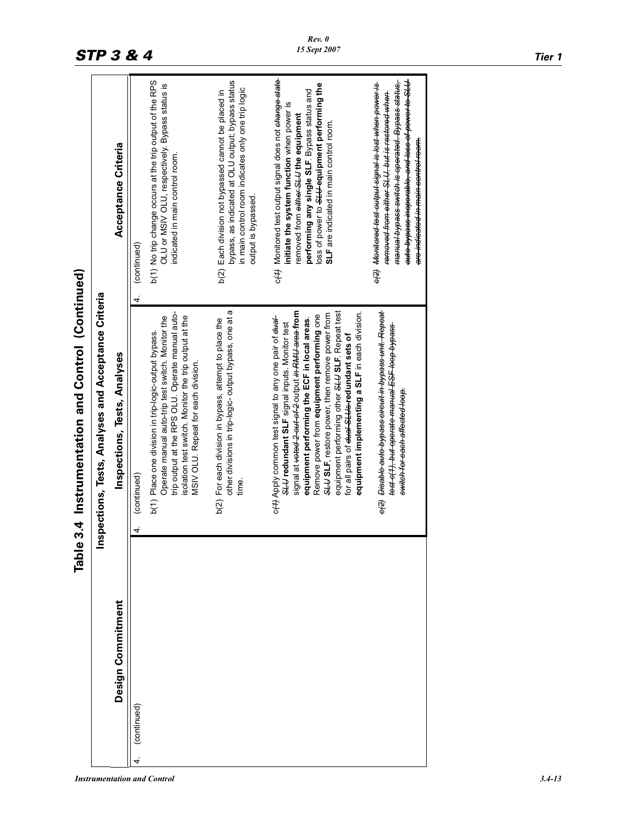|                   | Table 3.4 Instrumentation and Control (Continued)                                                                                                                                                                                                                                                                                                                                                                                                                                                      |                                                                                                                                                                                                                                                                                                       |
|-------------------|--------------------------------------------------------------------------------------------------------------------------------------------------------------------------------------------------------------------------------------------------------------------------------------------------------------------------------------------------------------------------------------------------------------------------------------------------------------------------------------------------------|-------------------------------------------------------------------------------------------------------------------------------------------------------------------------------------------------------------------------------------------------------------------------------------------------------|
|                   | pections, Tests, Analyses and Acceptance Criteria<br>ins                                                                                                                                                                                                                                                                                                                                                                                                                                               |                                                                                                                                                                                                                                                                                                       |
| Design Commitment | Inspections, Tests, Analyses                                                                                                                                                                                                                                                                                                                                                                                                                                                                           | Acceptance Criteria                                                                                                                                                                                                                                                                                   |
| (continued)<br>4. | (continued)<br>$\vec{r}$                                                                                                                                                                                                                                                                                                                                                                                                                                                                               | (continued)<br>4.                                                                                                                                                                                                                                                                                     |
|                   | trip output at the RPS OLU. Operate manual auto-<br>isolation test switch. Monitor the trip output at the<br>Operate manual auto-trip test switch. Monitor the<br>b(1) Place one division in trip-logic-output bypass.<br>MSIV OLU. Repeat for each division.                                                                                                                                                                                                                                          | b(1) No trip change occurs at the trip output of the RPS<br>OLU or MSIV OLU, respectively. Bypass status is<br>indicated in main control room.                                                                                                                                                        |
|                   | other divisions in trip-logic- output bypass, one at a<br>b(2) For each division in bypass, attempt to place the<br>time.                                                                                                                                                                                                                                                                                                                                                                              | bypass, as indicated at OLU output; bypass status<br>in main control room indicates only one trip logic<br>b(2) Each division not bypassed cannot be placed in<br>output is bypassed.                                                                                                                 |
|                   | signal at <del>votod 2-out of 2</del> -output <del>in RMU area f</del> rom<br>equipment performing other SLU SLF. Repeat test<br>equipment implementing a SLF in each division.<br>SLUS IF, restore power, then remove power from<br>Remove power from equipment performing one<br>o(4) Apply common test signal to any one pair of eter-<br>equipment performing the ECF in local areas.<br>SLU redundant SLF signal inputs. Monitor test<br>for all pairs of <del>dual SLUs r</del> edundant sets of | c(4) Monitored test output signal does not change state<br>loss of power to SLL-equipment performing the<br>performing any single SLF. Bypass status and<br>initiate the system function when power is<br>removed from <del>oithor SLU</del> the equipment<br>SLF are indicated in main control room. |
|                   | <del>o(2)</del> Disable auto bypass circuit in bypass unit. Repeat<br><del>test e(1), but operate manual ESF loop bypass-</del><br><del>switch for each affected loop.</del>                                                                                                                                                                                                                                                                                                                           | auto bypass inoperable, and loss of power to SLU<br>e(2) Monitered test output signal is lest when power is<br><del>manual bypass switch is operated. Bypass status,</del><br>removed from either SLU, but is restered when<br>are indicated in main centrol reem.                                    |
|                   |                                                                                                                                                                                                                                                                                                                                                                                                                                                                                                        |                                                                                                                                                                                                                                                                                                       |